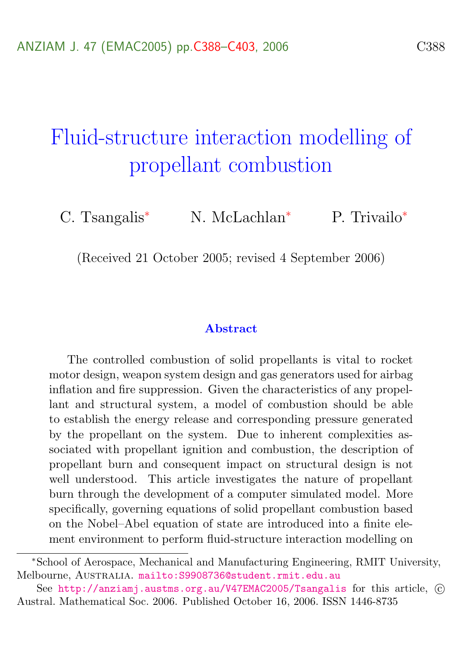# <span id="page-0-0"></span>Fluid-structure interaction modelling of propellant combustion

C. Tsangalis<sup>∗</sup> N. McLachlan<sup>∗</sup> P. Trivailo<sup>∗</sup>

(Received 21 October 2005; revised 4 September 2006)

#### Abstract

The controlled combustion of solid propellants is vital to rocket motor design, weapon system design and gas generators used for airbag inflation and fire suppression. Given the characteristics of any propellant and structural system, a model of combustion should be able to establish the energy release and corresponding pressure generated by the propellant on the system. Due to inherent complexities associated with propellant ignition and combustion, the description of propellant burn and consequent impact on structural design is not well understood. This article investigates the nature of propellant burn through the development of a computer simulated model. More specifically, governing equations of solid propellant combustion based on the Nobel–Abel equation of state are introduced into a finite element environment to perform fluid-structure interaction modelling on

<sup>∗</sup>School of Aerospace, Mechanical and Manufacturing Engineering, RMIT University, Melbourne, Australia. <mailto:S9908736@student.rmit.edu.au>

See <http://anziamj.austms.org.au/V47EMAC2005/Tsangalis> for this article,  $\odot$ Austral. Mathematical Soc. 2006. Published October 16, 2006. ISSN 1446-8735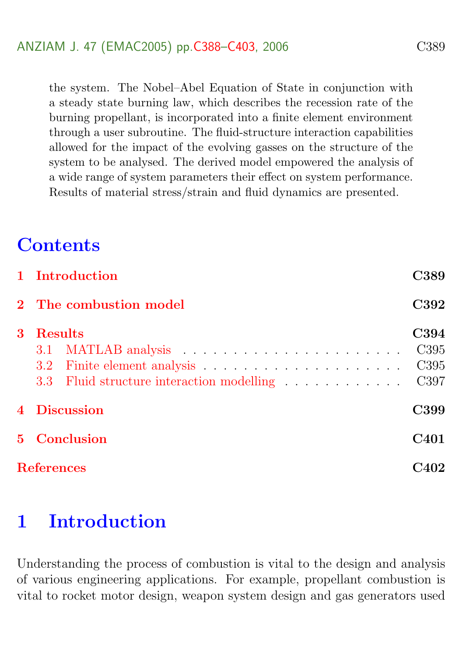the system. The Nobel–Abel Equation of State in conjunction with a steady state burning law, which describes the recession rate of the burning propellant, is incorporated into a finite element environment through a user subroutine. The fluid-structure interaction capabilities allowed for the impact of the evolving gasses on the structure of the system to be analysed. The derived model empowered the analysis of a wide range of system parameters their effect on system performance. Results of material stress/strain and fluid dynamics are presented.

## **Contents**

|   | 1 Introduction                                       |                              |  |  |  |
|---|------------------------------------------------------|------------------------------|--|--|--|
|   | 2 The combustion model                               | C392                         |  |  |  |
| 3 | Results<br>3.3 Fluid structure interaction modelling | C394<br>C395<br>C395<br>C397 |  |  |  |
|   | 4 Discussion                                         |                              |  |  |  |
|   | 5 Conclusion                                         |                              |  |  |  |
|   | <b>References</b>                                    |                              |  |  |  |

# <span id="page-1-0"></span>1 Introduction

Understanding the process of combustion is vital to the design and analysis of various engineering applications. For example, propellant combustion is vital to rocket motor design, weapon system design and gas generators used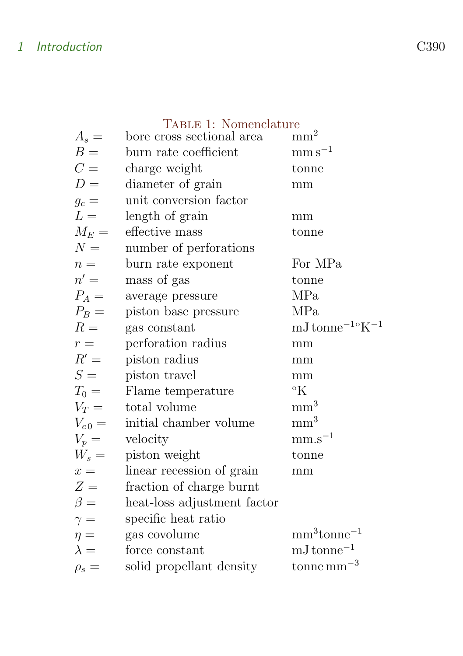### 1 Introduction C390

|             | TABLE 1: Nomenclature       |                                           |
|-------------|-----------------------------|-------------------------------------------|
| $A_s =$     | bore cross sectional area   | mm <sup>2</sup>                           |
| $B =$       | burn rate coefficient       | $\mathrm{mm}\,\mathrm{s}^{-1}$            |
| $C =$       | charge weight               | tonne                                     |
| $D =$       | diameter of grain           | mm                                        |
| $g_c =$     | unit conversion factor      |                                           |
| $L =$       | length of grain             | mm                                        |
| $M_E =$     | effective mass              | tonne                                     |
| $N =$       | number of perforations      |                                           |
| $n =$       | burn rate exponent          | For MPa                                   |
| $n' =$      | mass of gas                 | tonne                                     |
| $P_A =$     | average pressure            | MPa                                       |
| $P_B =$     | piston base pressure        | MPa                                       |
| $R =$       | gas constant                | $mJ$ tonne <sup>-1</sup> °K <sup>-1</sup> |
| $r =$       | perforation radius          | mm                                        |
| $R' =$      | piston radius               | mm                                        |
| $S =$       | piston travel               | mm                                        |
| $T_0 =$     | Flame temperature           | $\mathcal{O}_{K}$                         |
| $V_T =$     | total volume                | mm <sup>3</sup>                           |
| $V_{c0} =$  | initial chamber volume      | mm <sup>3</sup>                           |
| $V_p =$     | velocity                    | $\text{mm}.\text{s}^{-1}$                 |
| $W_s =$     | piston weight               | tonne                                     |
| $x =$       | linear recession of grain   | mm                                        |
| $Z =$       | fraction of charge burnt    |                                           |
| $\beta =$   | heat-loss adjustment factor |                                           |
| $\gamma =$  | specific heat ratio         |                                           |
| $\eta =$    | gas covolume                | $mm3tonne-1$                              |
| $\lambda =$ | force constant              | $mJ$ tonne <sup><math>-1</math></sup>     |
| $\rho_s =$  | solid propellant density    | tonne mm <sup><math>-3</math></sup>       |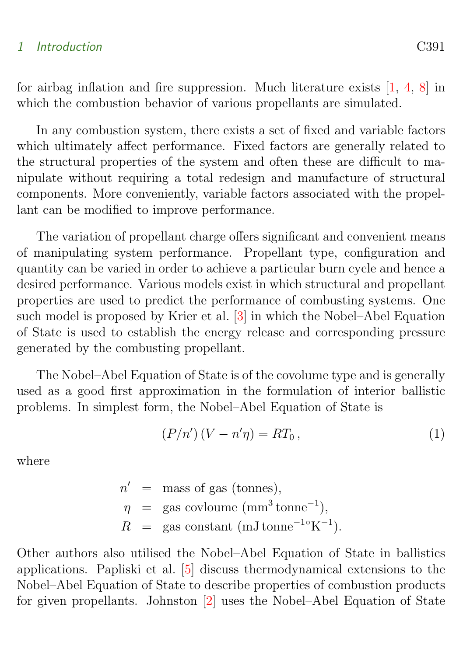#### <span id="page-3-0"></span>1 Introduction C391

for airbag inflation and fire suppression. Much literature exists [\[1,](#page-14-1) [4,](#page-15-0) [8\]](#page-15-1) in which the combustion behavior of various propellants are simulated.

In any combustion system, there exists a set of fixed and variable factors which ultimately affect performance. Fixed factors are generally related to the structural properties of the system and often these are difficult to manipulate without requiring a total redesign and manufacture of structural components. More conveniently, variable factors associated with the propellant can be modified to improve performance.

The variation of propellant charge offers significant and convenient means of manipulating system performance. Propellant type, configuration and quantity can be varied in order to achieve a particular burn cycle and hence a desired performance. Various models exist in which structural and propellant properties are used to predict the performance of combusting systems. One such model is proposed by Krier et al. [\[3\]](#page-14-2) in which the Nobel–Abel Equation of State is used to establish the energy release and corresponding pressure generated by the combusting propellant.

The Nobel–Abel Equation of State is of the covolume type and is generally used as a good first approximation in the formulation of interior ballistic problems. In simplest form, the Nobel–Abel Equation of State is

$$
(P/n')(V - n'\eta) = RT_0,
$$
\n<sup>(1)</sup>

where

 $n'$  = mass of gas (tonnes),  $\eta$  = gas covloume (mm<sup>3</sup> tonne<sup>-1</sup>),  $R$  = gas constant (mJ tonne<sup>-1</sup>°K<sup>-1</sup>).

Other authors also utilised the Nobel–Abel Equation of State in ballistics applications. Papliski et al. [\[5\]](#page-15-2) discuss thermodynamical extensions to the Nobel–Abel Equation of State to describe properties of combustion products for given propellants. Johnston [\[2\]](#page-14-3) uses the Nobel–Abel Equation of State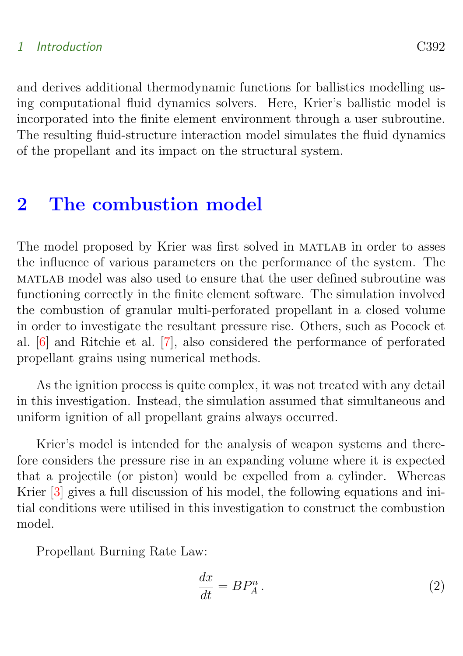#### <span id="page-4-2"></span>1 Introduction C392

and derives additional thermodynamic functions for ballistics modelling using computational fluid dynamics solvers. Here, Krier's ballistic model is incorporated into the finite element environment through a user subroutine. The resulting fluid-structure interaction model simulates the fluid dynamics of the propellant and its impact on the structural system.

### <span id="page-4-0"></span>2 The combustion model

The model proposed by Krier was first solved in MATLAB in order to asses the influence of various parameters on the performance of the system. The matlab model was also used to ensure that the user defined subroutine was functioning correctly in the finite element software. The simulation involved the combustion of granular multi-perforated propellant in a closed volume in order to investigate the resultant pressure rise. Others, such as Pocock et al. [\[6\]](#page-15-3) and Ritchie et al. [\[7\]](#page-15-4), also considered the performance of perforated propellant grains using numerical methods.

As the ignition process is quite complex, it was not treated with any detail in this investigation. Instead, the simulation assumed that simultaneous and uniform ignition of all propellant grains always occurred.

Krier's model is intended for the analysis of weapon systems and therefore considers the pressure rise in an expanding volume where it is expected that a projectile (or piston) would be expelled from a cylinder. Whereas Krier [\[3\]](#page-14-2) gives a full discussion of his model, the following equations and initial conditions were utilised in this investigation to construct the combustion model.

Propellant Burning Rate Law:

<span id="page-4-1"></span>
$$
\frac{dx}{dt} = BP_A^n. \tag{2}
$$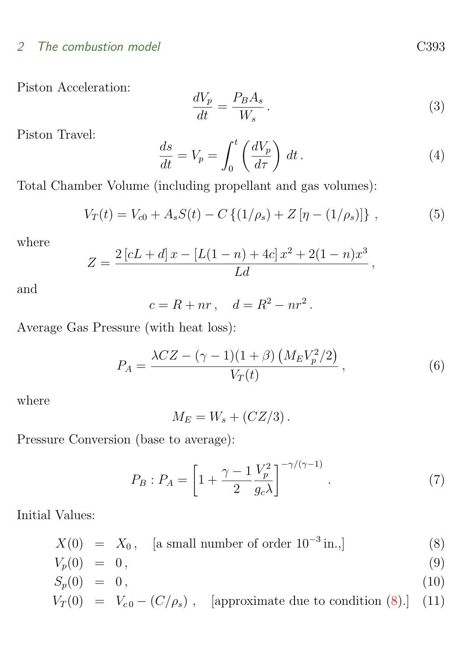#### 2 The combustion model C393

Piston Acceleration:

<span id="page-5-4"></span>
$$
\frac{dV_p}{dt} = \frac{P_B A_s}{W_s} \,. \tag{3}
$$

Piston Travel:

<span id="page-5-1"></span>
$$
\frac{ds}{dt} = V_p = \int_0^t \left(\frac{dV_p}{d\tau}\right) dt.
$$
\n(4)

Total Chamber Volume (including propellant and gas volumes):

$$
V_T(t) = V_{c0} + A_s S(t) - C \left\{ (1/\rho_s) + Z \left[ \eta - (1/\rho_s) \right] \right\},\tag{5}
$$

where

$$
Z = \frac{2\left[cL+d\right]x - \left[L(1-n) + 4c\right]x^2 + 2(1-n)x^3}{Ld},
$$

and

 $c = R + nr$ ,  $d = R^2 - nr^2$ .

Average Gas Pressure (with heat loss):

$$
P_A = \frac{\lambda CZ - (\gamma - 1)(1 + \beta) \left( M_E V_p^2 / 2 \right)}{V_T(t)},
$$
\n(6)

where

<span id="page-5-3"></span> $M_E = W_s + (CZ/3)$ .

Pressure Conversion (base to average):

$$
P_B: P_A = \left[1 + \frac{\gamma - 1}{2} \frac{V_p^2}{g_c \lambda}\right]^{-\gamma/(\gamma - 1)}.
$$
 (7)

Initial Values:

$$
X(0) = X_0, \quad \text{[a small number of order } 10^{-3} \text{ in.}, \tag{8}
$$

<span id="page-5-0"></span>
$$
V_p(0) = 0, \tag{9}
$$

$$
S_p(0) = 0, \tag{10}
$$

$$
V_T(0) = V_{c0} - (C/\rho_s), \quad \text{[approximate due to condition (8).]} \quad (11)
$$

<span id="page-5-2"></span>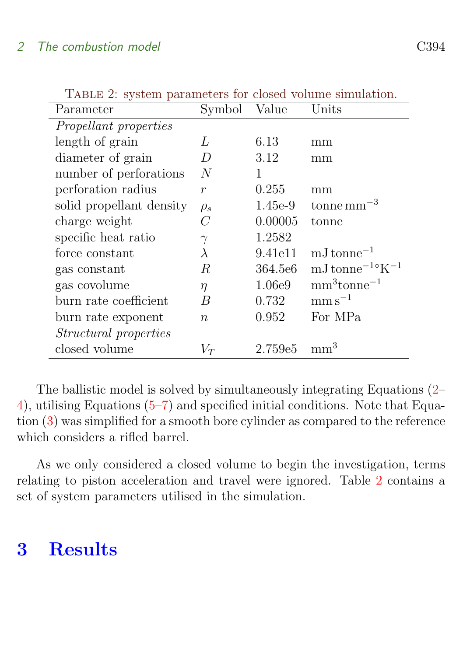| <b>TABLE 2:</b> system parameters for closed volume simulation. |                  |           |                                                    |  |  |  |
|-----------------------------------------------------------------|------------------|-----------|----------------------------------------------------|--|--|--|
| Parameter                                                       | Symbol           | Value     | Units                                              |  |  |  |
| <i>Propellant properties</i>                                    |                  |           |                                                    |  |  |  |
| length of grain                                                 | L                | 6.13      | mm                                                 |  |  |  |
| diameter of grain                                               | D                | 3.12      | mm                                                 |  |  |  |
| number of perforations                                          | N                | 1         |                                                    |  |  |  |
| perforation radius                                              | $\boldsymbol{r}$ | 0.255     | mm                                                 |  |  |  |
| solid propellant density                                        | $\rho_s$         | $1.45e-9$ | tonne mm <sup><math>-3</math></sup>                |  |  |  |
| charge weight                                                   | $\overline{C}$   | 0.00005   | tonne                                              |  |  |  |
| specific heat ratio                                             | $\gamma$         | 1.2582    |                                                    |  |  |  |
| force constant                                                  | $\lambda$        | 9.41e11   | $mJ$ tonne <sup><math>-1</math></sup>              |  |  |  |
| gas constant                                                    | R                | 364.5e6   | $mJ$ tonne <sup><math>-1 \circ K^{-1}</math></sup> |  |  |  |
| gas covolume                                                    | $\eta$           | 1.06e9    | $mm3tonne-1$                                       |  |  |  |
| burn rate coefficient                                           | B                | 0.732     | $\mathrm{mm}\,\mathrm{s}^{-1}$                     |  |  |  |
| burn rate exponent                                              | $\, n$           | 0.952     | For MPa                                            |  |  |  |
| Structural properties                                           |                  |           |                                                    |  |  |  |
| closed volume                                                   | $V_T$            | 2.759e5   | mm <sup>3</sup>                                    |  |  |  |

<span id="page-6-2"></span>TABLE 2: system parameters for closed volume simulation.

The ballistic model is solved by simultaneously integrating Equations [\(2–](#page-4-1) [4\)](#page-5-1), utilising Equations [\(5–](#page-5-2)[7\)](#page-5-3) and specified initial conditions. Note that Equation [\(3\)](#page-5-4) was simplified for a smooth bore cylinder as compared to the reference which considers a rifled barrel.

As we only considered a closed volume to begin the investigation, terms relating to piston acceleration and travel were ignored. Table [2](#page-6-2) contains a set of system parameters utilised in the simulation.

# <span id="page-6-1"></span><span id="page-6-0"></span>3 Results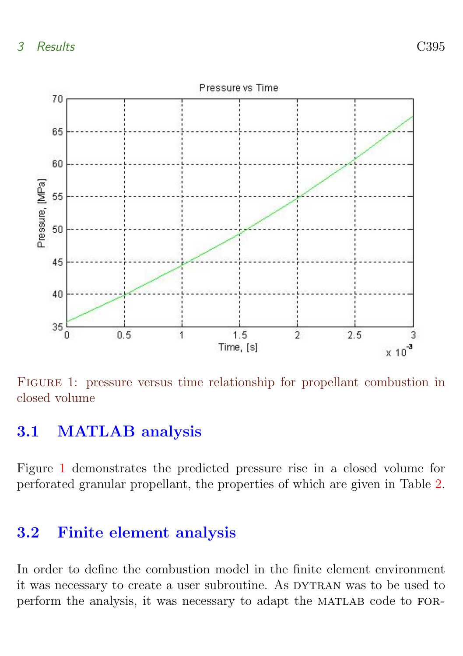

<span id="page-7-1"></span>FIGURE 1: pressure versus time relationship for propellant combustion in closed volume

### 3.1 MATLAB analysis

Figure [1](#page-7-1) demonstrates the predicted pressure rise in a closed volume for perforated granular propellant, the properties of which are given in Table [2.](#page-6-2)

### <span id="page-7-0"></span>3.2 Finite element analysis

In order to define the combustion model in the finite element environment it was necessary to create a user subroutine. As DYTRAN was to be used to perform the analysis, it was necessary to adapt the MATLAB code to FOR-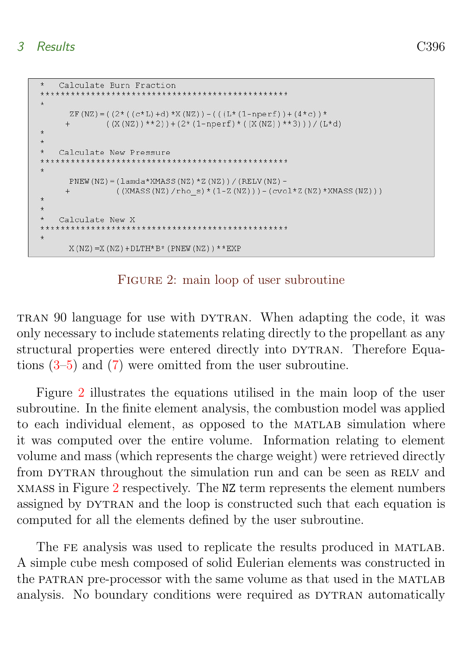```
\ddot{+}Calculate Burn Fraction
\pmZF(NZ) = ((2*( (c * L) + d) *X(NZ)) - (( (L * (1-nperf)) + (4 * c)) *+ ((X(NZ)) **2) )+(2*(1-nperf)*(X(NZ)) **3) )/(L*d)\rightarrow\star\starCalculate New Pressure
    x + x + yPNEW (NZ) = \text{(lamda*NMASS(NZ)*Z(NZ))}/\text{(RELV(NZ)} -
          ((XMASS(NZ)/rho_s)*(1-Z(NZ)))-(cvol*Z(NZ)*XMASS(NZ)))
\star\star\starCalculate New X
X(NZ) = X(NZ) + DLTH*B* (PNEW (NZ)) **EXF
```
#### <span id="page-8-0"></span>FIGURE 2: main loop of user subroutine

tran 90 language for use with dytran. When adapting the code, it was only necessary to include statements relating directly to the propellant as any structural properties were entered directly into DYTRAN. Therefore Equations [\(3](#page-5-4)[–5\)](#page-5-2) and [\(7\)](#page-5-3) were omitted from the user subroutine.

Figure [2](#page-8-0) illustrates the equations utilised in the main loop of the user subroutine. In the finite element analysis, the combustion model was applied to each individual element, as opposed to the MATLAB simulation where it was computed over the entire volume. Information relating to element volume and mass (which represents the charge weight) were retrieved directly from DYTRAN throughout the simulation run and can be seen as RELV and xmass in Figure [2](#page-8-0) respectively. The NZ term represents the element numbers assigned by DYTRAN and the loop is constructed such that each equation is computed for all the elements defined by the user subroutine.

The FE analysis was used to replicate the results produced in MATLAB. A simple cube mesh composed of solid Eulerian elements was constructed in the PATRAN pre-processor with the same volume as that used in the MATLAB analysis. No boundary conditions were required as DYTRAN automatically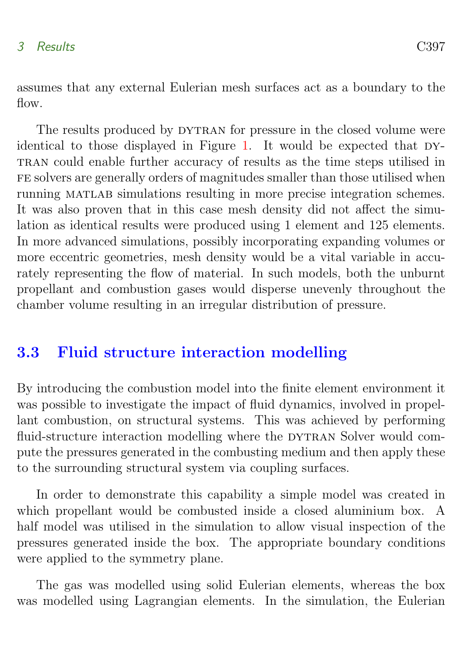assumes that any external Eulerian mesh surfaces act as a boundary to the flow.

The results produced by DYTRAN for pressure in the closed volume were identical to those displayed in Figure [1.](#page-7-1) It would be expected that  $DY$ tran could enable further accuracy of results as the time steps utilised in fe solvers are generally orders of magnitudes smaller than those utilised when running MATLAB simulations resulting in more precise integration schemes. It was also proven that in this case mesh density did not affect the simulation as identical results were produced using 1 element and 125 elements. In more advanced simulations, possibly incorporating expanding volumes or more eccentric geometries, mesh density would be a vital variable in accurately representing the flow of material. In such models, both the unburnt propellant and combustion gases would disperse unevenly throughout the chamber volume resulting in an irregular distribution of pressure.

### <span id="page-9-0"></span>3.3 Fluid structure interaction modelling

By introducing the combustion model into the finite element environment it was possible to investigate the impact of fluid dynamics, involved in propellant combustion, on structural systems. This was achieved by performing fluid-structure interaction modelling where the DYTRAN Solver would compute the pressures generated in the combusting medium and then apply these to the surrounding structural system via coupling surfaces.

In order to demonstrate this capability a simple model was created in which propellant would be combusted inside a closed aluminium box. A half model was utilised in the simulation to allow visual inspection of the pressures generated inside the box. The appropriate boundary conditions were applied to the symmetry plane.

The gas was modelled using solid Eulerian elements, whereas the box was modelled using Lagrangian elements. In the simulation, the Eulerian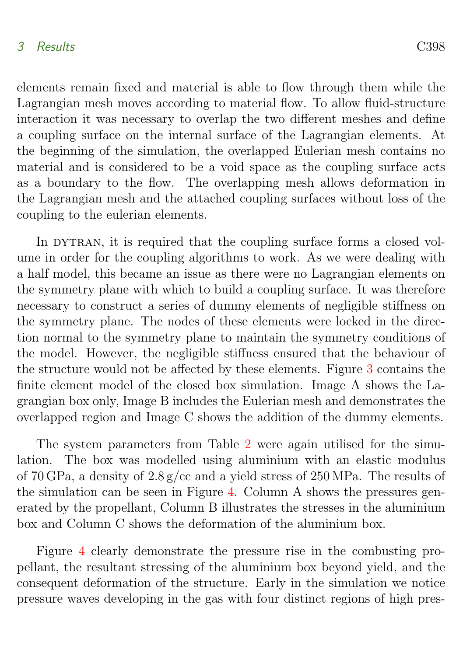#### 3 Results C398

elements remain fixed and material is able to flow through them while the Lagrangian mesh moves according to material flow. To allow fluid-structure interaction it was necessary to overlap the two different meshes and define a coupling surface on the internal surface of the Lagrangian elements. At the beginning of the simulation, the overlapped Eulerian mesh contains no material and is considered to be a void space as the coupling surface acts as a boundary to the flow. The overlapping mesh allows deformation in the Lagrangian mesh and the attached coupling surfaces without loss of the coupling to the eulerian elements.

In DYTRAN, it is required that the coupling surface forms a closed volume in order for the coupling algorithms to work. As we were dealing with a half model, this became an issue as there were no Lagrangian elements on the symmetry plane with which to build a coupling surface. It was therefore necessary to construct a series of dummy elements of negligible stiffness on the symmetry plane. The nodes of these elements were locked in the direction normal to the symmetry plane to maintain the symmetry conditions of the model. However, the negligible stiffness ensured that the behaviour of the structure would not be affected by these elements. Figure [3](#page-11-1) contains the finite element model of the closed box simulation. Image A shows the Lagrangian box only, Image B includes the Eulerian mesh and demonstrates the overlapped region and Image C shows the addition of the dummy elements.

The system parameters from Table [2](#page-6-2) were again utilised for the simulation. The box was modelled using aluminium with an elastic modulus of 70 GPa, a density of 2.8 g/cc and a yield stress of 250 MPa. The results of the simulation can be seen in Figure [4.](#page-12-0) Column A shows the pressures generated by the propellant, Column B illustrates the stresses in the aluminium box and Column C shows the deformation of the aluminium box.

Figure [4](#page-12-0) clearly demonstrate the pressure rise in the combusting propellant, the resultant stressing of the aluminium box beyond yield, and the consequent deformation of the structure. Early in the simulation we notice pressure waves developing in the gas with four distinct regions of high pres-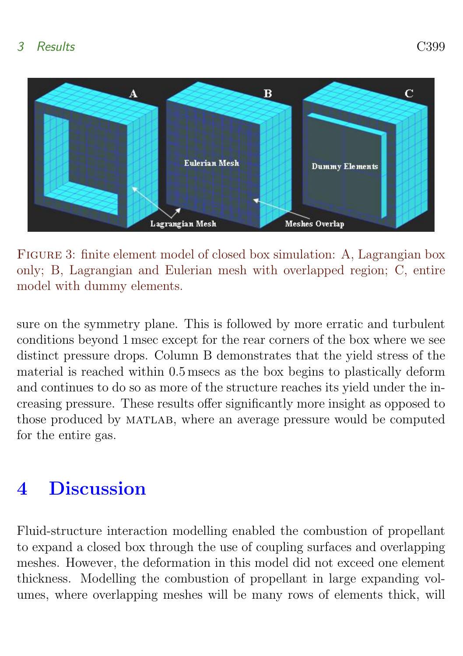

Figure 3: finite element model of closed box simulation: A, Lagrangian box only; B, Lagrangian and Eulerian mesh with overlapped region; C, entire model with dummy elements.

<span id="page-11-1"></span>sure on the symmetry plane. This is followed by more erratic and turbulent conditions beyond 1 msec except for the rear corners of the box where we see distinct pressure drops. Column B demonstrates that the yield stress of the material is reached within 0.5 msecs as the box begins to plastically deform and continues to do so as more of the structure reaches its yield under the increasing pressure. These results offer significantly more insight as opposed to those produced by MATLAB, where an average pressure would be computed for the entire gas.

# <span id="page-11-0"></span>4 Discussion

Fluid-structure interaction modelling enabled the combustion of propellant to expand a closed box through the use of coupling surfaces and overlapping meshes. However, the deformation in this model did not exceed one element thickness. Modelling the combustion of propellant in large expanding volumes, where overlapping meshes will be many rows of elements thick, will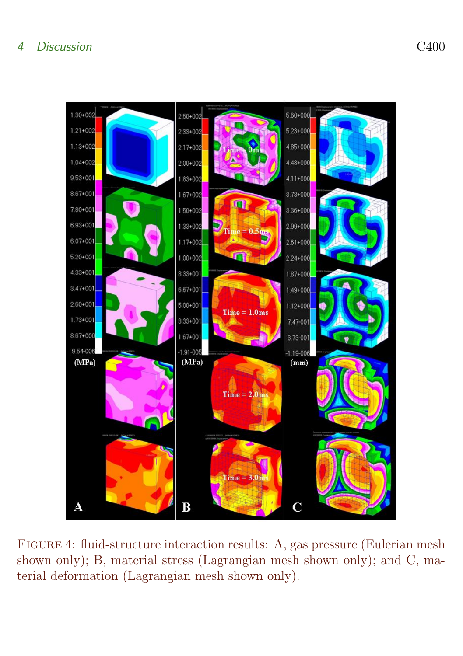<span id="page-12-0"></span>

Figure 4: fluid-structure interaction results: A, gas pressure (Eulerian mesh shown only); B, material stress (Lagrangian mesh shown only); and C, material deformation (Lagrangian mesh shown only).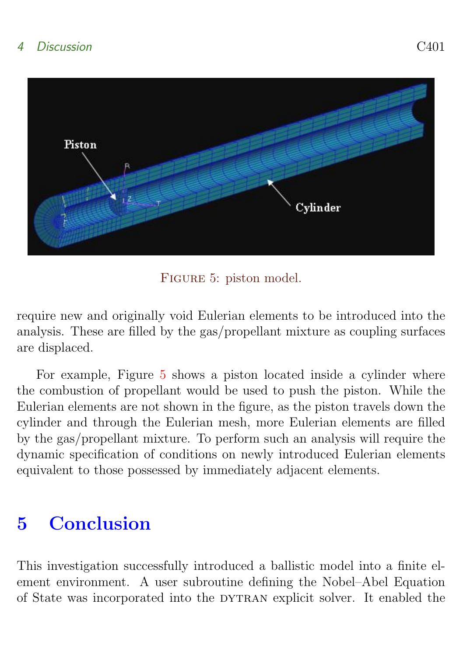

FIGURE 5: piston model.

<span id="page-13-1"></span>require new and originally void Eulerian elements to be introduced into the analysis. These are filled by the gas/propellant mixture as coupling surfaces are displaced.

For example, Figure [5](#page-13-1) shows a piston located inside a cylinder where the combustion of propellant would be used to push the piston. While the Eulerian elements are not shown in the figure, as the piston travels down the cylinder and through the Eulerian mesh, more Eulerian elements are filled by the gas/propellant mixture. To perform such an analysis will require the dynamic specification of conditions on newly introduced Eulerian elements equivalent to those possessed by immediately adjacent elements.

# <span id="page-13-0"></span>5 Conclusion

This investigation successfully introduced a ballistic model into a finite element environment. A user subroutine defining the Nobel–Abel Equation of State was incorporated into the DYTRAN explicit solver. It enabled the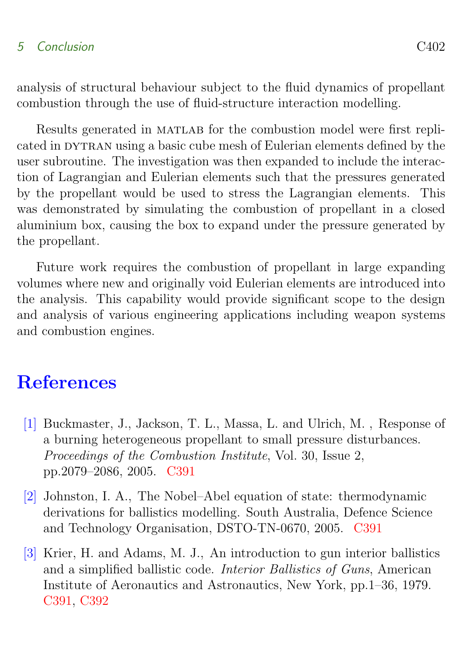### 5 Conclusion C402

analysis of structural behaviour subject to the fluid dynamics of propellant combustion through the use of fluid-structure interaction modelling.

Results generated in MATLAB for the combustion model were first replicated in dytran using a basic cube mesh of Eulerian elements defined by the user subroutine. The investigation was then expanded to include the interaction of Lagrangian and Eulerian elements such that the pressures generated by the propellant would be used to stress the Lagrangian elements. This was demonstrated by simulating the combustion of propellant in a closed aluminium box, causing the box to expand under the pressure generated by the propellant.

Future work requires the combustion of propellant in large expanding volumes where new and originally void Eulerian elements are introduced into the analysis. This capability would provide significant scope to the design and analysis of various engineering applications including weapon systems and combustion engines.

# **References**

- <span id="page-14-1"></span><span id="page-14-0"></span>[1] Buckmaster, J., Jackson, T. L., Massa, L. and Ulrich, M. , Response of a burning heterogeneous propellant to small pressure disturbances. Proceedings of the Combustion Institute, Vol. 30, Issue 2, pp.2079–2086, 2005. [C391](#page-3-0)
- <span id="page-14-3"></span>[2] Johnston, I. A., The Nobel–Abel equation of state: thermodynamic derivations for ballistics modelling. South Australia, Defence Science and Technology Organisation, DSTO-TN-0670, 2005. [C391](#page-3-0)
- <span id="page-14-2"></span>[3] Krier, H. and Adams, M. J., An introduction to gun interior ballistics and a simplified ballistic code. Interior Ballistics of Guns, American Institute of Aeronautics and Astronautics, New York, pp.1–36, 1979. [C391,](#page-3-0) [C392](#page-4-2)